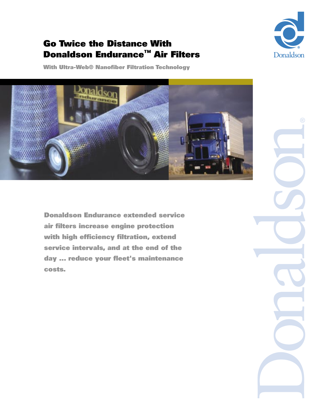

### Go Twice the Distance With Donaldson Endurance™ Air Filters

With Ultra-Web® Nanofiber Filtration Technology



Donaldson Endurance extended service air filters increase engine protection with high efficiency filtration, extend service intervals, and at the end of the day ... reduce your fleet's maintenance costs.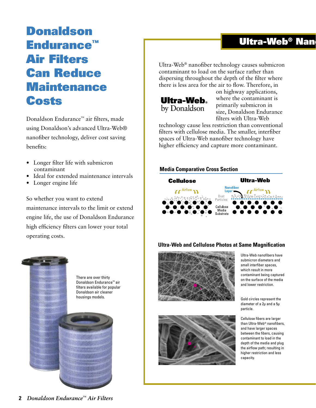# Donaldson Endurance™ Air Filters Can Reduce **Maintenance Costs**

Donaldson Endurance™ air filters, made using Donaldson's advanced Ultra-Web® nanofiber technology, deliver cost saving benefits:

- Longer filter life with submicron contaminant
- Ideal for extended maintenance intervals
- Longer engine life

So whether you want to extend maintenance intervals to the limit or extend engine life, the use of Donaldson Endurance high efficiency filters can lower your total operating costs.



### Ultra-Web<sup>®</sup> Nan

Ultra-Web® nanofiber technology causes submicron contaminant to load on the surface rather than dispersing throughout the depth of the filter where there is less area for the air to flow. Therefore, in



on highway applications, where the contaminant is primarily submicron in size, Donaldson Endurance filters with Ultra-Web

technology cause less restriction than conventional filters with cellulose media. The smaller, interfiber spaces of Ultra-Web nanofiber technology have higher efficiency and capture more contaminant.

#### **Media Comparative Cross Section**



#### **Ultra-Web and Cellulose Photos at Same Magnification**





Ultra-Web nanofibers have submicron diameters and small interfiber spaces, which result in more contaminant being captured on the surface of the media and lower restriction.

Gold circles represent the diameter of a 2µ and a 5µ particle.

Cellulose fibers are larger than Ultra-Web® nanofibers, and have larger spaces between the fibers, causing contaminant to load in the depth of the media and plug the airflow path; resulting in higher restriction and less capacity.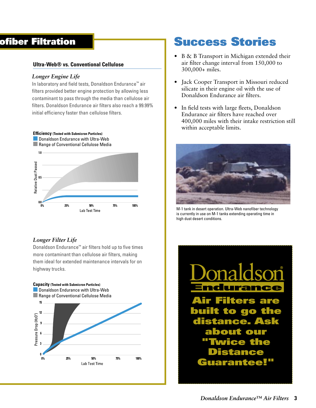### ofiber Filtration

#### **Ultra-Web® vs. Conventional Cellulose**

#### *Longer Engine Life*

In laboratory and field tests, Donaldson Endurance™ air filters provided better engine protection by allowing less contaminant to pass through the media than cellulose air filters. Donaldson Endurance air filters also reach a 99.99% initial efficiency faster than cellulose filters.



#### *Longer Filter Life*

Donaldson Endurance™ air filters hold up to five times more contaminant than cellulose air filters, making them ideal for extended maintenance intervals for on highway trucks.



## Success Stories

- B & B Transport in Michigan extended their air filter change interval from 150,000 to 300,000+ miles.
- Jack Cooper Transport in Missouri reduced silicate in their engine oil with the use of Donaldson Endurance air filters.
- In field tests with large fleets, Donaldson Endurance air filters have reached over 400,000 miles with their intake restriction still within acceptable limits.



M-1 tank in desert operation. Ultra-Web nanofiber technology is currently in use on M-1 tanks extending operating time in high dust desert conditions.